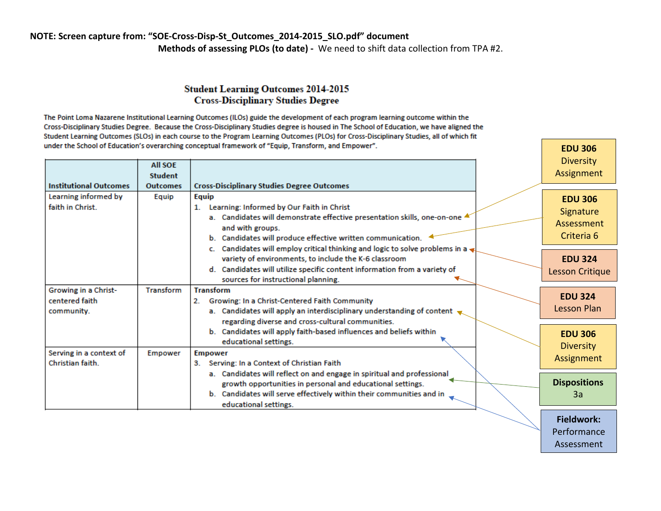## **NOTE: Screen capture from: "SOE-Cross-Disp-St\_Outcomes\_2014-2015\_SLO.pdf" document Methods of assessing PLOs (to date) -** We need to shift data collection from TPA #2.

## **Student Learning Outcomes 2014-2015 Cross-Disciplinary Studies Degree**

The Point Loma Nazarene Institutional Learning Outcomes (ILOs) guide the development of each program learning outcome within the Cross-Disciplinary Studies Degree. Because the Cross-Disciplinary Studies degree is housed in The School of Education, we have aligned the Student Learning Outcomes (SLOs) in each course to the Program Learning Outcomes (PLOs) for Cross-Disciplinary Studies, all of which fit under the School of Education's overarching conceptual framework of "Equip, Transform, and Empower".

|                               | <b>All SOE</b><br><b>Student</b> |                                                                                                                  | <b>Diversity</b><br>Assignment |
|-------------------------------|----------------------------------|------------------------------------------------------------------------------------------------------------------|--------------------------------|
| <b>Institutional Outcomes</b> | <b>Outcomes</b>                  | <b>Cross-Disciplinary Studies Degree Outcomes</b>                                                                |                                |
| Learning informed by          | Equip                            | Equip                                                                                                            | <b>EDU 306</b>                 |
| faith in Christ.              |                                  | Learning: Informed by Our Faith in Christ<br>1.                                                                  | Signature                      |
|                               |                                  | a. Candidates will demonstrate effective presentation skills, one-on-one 4                                       | Assessment                     |
|                               |                                  | and with groups.                                                                                                 | Criteria 6                     |
|                               |                                  | b. Candidates will produce effective written communication.                                                      |                                |
|                               |                                  | c. Candidates will employ critical thinking and logic to solve problems in a                                     |                                |
|                               |                                  | variety of environments, to include the K-6 classroom                                                            | <b>EDU 324</b>                 |
|                               |                                  | d. Candidates will utilize specific content information from a variety of<br>sources for instructional planning. | Lesson Critique                |
| Growing in a Christ-          | <b>Transform</b>                 | <b>Transform</b>                                                                                                 |                                |
| centered faith                |                                  | Growing: In a Christ-Centered Faith Community<br>2.                                                              | <b>EDU 324</b>                 |
| community.                    |                                  | a. Candidates will apply an interdisciplinary understanding of content $\bullet$                                 | Lesson Plan                    |
|                               |                                  | regarding diverse and cross-cultural communities.                                                                |                                |
|                               |                                  | b. Candidates will apply faith-based influences and beliefs within                                               | <b>EDU 306</b>                 |
|                               |                                  | educational settings.                                                                                            | <b>Diversity</b>               |
| Serving in a context of       | <b>Empower</b>                   | <b>Empower</b>                                                                                                   | Assignment                     |
| Christian faith.              |                                  | Serving: In a Context of Christian Faith<br>3.                                                                   |                                |
|                               |                                  | a. Candidates will reflect on and engage in spiritual and professional                                           |                                |
|                               |                                  | growth opportunities in personal and educational settings.                                                       | <b>Dispositions</b>            |
|                               |                                  | b. Candidates will serve effectively within their communities and in                                             | 3a                             |
|                               |                                  | educational settings.                                                                                            |                                |

**Fieldwork: Performance** Assessment

**EDU 306**